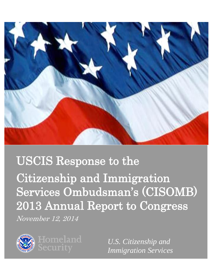

# USCIS Response to the Citizenship and Immigration Services Ombudsman's (CISOMB) 2013 Annual Report to Congress November 12, 2014



*U.S. Citizenship and Immigration Services*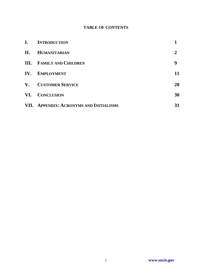# **TABLE OF CONTENTS**

| $\mathbf{I}$ . | <b>INTRODUCTION</b>                     |                |
|----------------|-----------------------------------------|----------------|
| П.             | <b>HUMANITARIAN</b>                     | $\overline{2}$ |
|                | <b>III.</b> FAMILY AND CHILDREN         | 9              |
| IV.            | <b>EMPLOYMENT</b>                       | 11             |
|                | V. CUSTOMER SERVICE                     | 20             |
| VI.            | <b>CONCLUSION</b>                       | 30             |
|                | VII. APPENDIX: ACRONYMS AND INITIALISMS | 31             |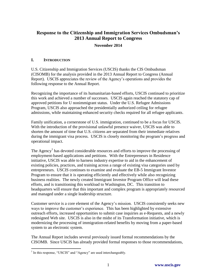# **Response to the Citizenship and Immigration Services Ombudsman's 2013 Annual Report to Congress**

#### **November 2014**

#### **I. INTRODUCTION**

U.S. Citizenship and Immigration Services (USCIS) thanks the CIS Ombudsman (CISOMB) for the analysis provided in the 2013 Annual Report to Congress (Annual Report). USCIS appreciates the review of the Agency's operations and provides the following response to the Annual Report.

Recognizing the importance of its humanitarian-based efforts, USCIS continued to prioritize this work and achieved a number of successes. USCIS again reached the statutory cap of approved petitions for U nonimmigrant status. Under the U.S. Refugee Admissions Program, USCIS also approached the presidentially authorized ceiling for refugee admissions, while maintaining enhanced security checks required for all refugee applicants.

Family unification, a cornerstone of U.S. immigration, continued to be a focus for USCIS. With the introduction of the provisional unlawful presence waiver, USCIS was able to shorten the amount of time that U.S. citizens are separated from their immediate relatives during the immigrant visa process. USCIS is closely monitoring the program's progress and operational impact.

The  $\text{Agency}^1$  has devoted considerable resources and efforts to improve the processing of employment-based applications and petitions. With the Entrepreneurs in Residence initiative, USCIS was able to harness industry expertise to aid in the enhancement of existing policies, practices, and training across a range of existing visa categories used by entrepreneurs. USCIS continues to examine and evaluate the EB-5 Immigrant Investor Program to ensure that it is operating efficiently and effectively while also recognizing business realities. The newly created Immigrant Investor Program Office will lead these efforts, and is transitioning this workload to Washington, DC. This transition to headquarters will ensure that this important and complex program is appropriately resourced and managed under a single leadership structure.

Customer service is a core element of the Agency's mission. USCIS consistently seeks new ways to improve the customer's experience. This has been highlighted by extensive outreach efforts, increased opportunities to submit case inquiries as e-Requests, and a newly redesigned Web site. USCIS is also in the midst of its Transformation initiative, which is modernizing the processing of immigration-related benefits by moving from a paper-based system to an electronic system.

The Annual Report includes several previously issued formal recommendations by the CISOMB. Since USCIS has already provided formal responses to those recommendations,

 1 In this response, "USCIS" and "Agency" are used interchangeably.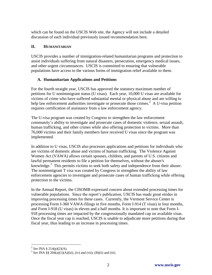which can be found on the USCIS Web site, the Agency will not include a detailed discussion of each individual previously issued recommendation here.

## **II. HUMANITARIAN**

USCIS provides a number of immigration-related humanitarian programs and protection to assist individuals suffering from natural disasters, persecution, emergency medical issues, and other urgent circumstances. USCIS is committed to ensuring that vulnerable populations have access to the various forms of immigration relief available to them.

### **A. Humanitarian Applications and Petitions**

For the fourth straight year, USCIS has approved the statutory maximum number of petitions for U nonimmigrant status (U visas). Each year, 10,000 U visas are available for victims of crime who have suffered substantial mental or physical abuse and are willing to help law enforcement authorities investigate or prosecute those crimes.<sup>2</sup> A U-visa petition requires certification of assistance from a law enforcement agency.

The U-visa program was created by Congress to strengthen the law enforcement community's ability to investigate and prosecute cases of domestic violence, sexual assault, human trafficking, and other crimes while also offering protection to victims. More than 76,000 victims and their family members have received U visas since the program was implemented.

In addition to U visas, USCIS also processes applications and petitions for individuals who are victims of domestic abuse and victims of human trafficking. The Violence Against Women Act (VAWA) allows certain spouses, children, and parents of U.S. citizens and lawful permanent residents to file a petition for themselves, without the abuser's knowledge.<sup>3</sup> This permits victims to seek both safety and independence from their abuser. The nonimmigrant T visa was created by Congress to strengthen the ability of law enforcement agencies to investigate and prosecute cases of human trafficking while offering protection to the victims.

In the Annual Report, the CISOMB expressed concern about extended processing times for vulnerable populations. Since the report's publication, USCIS has made great strides in improving processing times for these cases. Currently, the Vermont Service Center is processing Form I-360 VAWA-filings in five months, Form I-914 (T visas) in four months, and Form I-918 (U visas) in eleven and a half months. It is important to note that Form I-918 processing times are impacted by the congressionally mandated cap on available visas. Once the fiscal year cap is reached, USCIS is unable to adjudicate more petitions during that fiscal year, thus leading to an increase in processing times.

 2 *See* INA § 214(p)(2)(A).

<sup>&</sup>lt;sup>3</sup> See INA §§ 204(a)(1)(A)(iii), (iv) and (vii); (B)(ii) and (iii).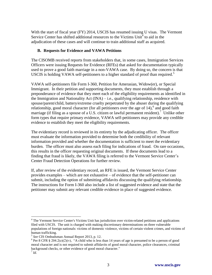With the start of fiscal year (FY) 2014, USCIS has resumed issuing U visas. The Vermont Service Center has shifted additional resources to the Victims Unit $4$  to aid in the adjudication of these cases and will continue to train additional staff as acquired.

#### **B. Requests for Evidence and VAWA Petitions**

The CISOMB received reports from stakeholders that, in some cases, Immigration Services Officers were issuing Requests for Evidence (RFEs) that asked for documentation typically used to prove a good faith marriage in a non-VAWA case. By doing so, the concern is that USCIS is holding VAWA self-petitioners to a higher standard of proof than required.<sup>5</sup>

VAWA self-petitioners file Form I-360, Petition for Amerasian, Widow(er), or Special Immigrant. In their petition and supporting documents, they must establish through a preponderance of evidence that they meet each of the eligibility requirements as identified in the Immigration and Nationality Act  $(INA) - i.e.,$  qualifying relationship, residence with spouse/parent/child, battery/extreme cruelty perpetrated by the abuser during the qualifying relationship, good moral character (for all petitioners over the age of  $14$ ),<sup>6</sup> and good faith marriage (if filing as a spouse of a U.S. citizen or lawful permanent resident).<sup>7</sup> Unlike other form types that require primary evidence, VAWA self-petitioners may provide any credible evidence to establish they meet the eligibility requirements.

The evidentiary record is reviewed in its entirety by the adjudicating officer. The officer must evaluate the information provided to determine both the credibility of relevant information provided and whether the documentation is sufficient to meet the evidentiary burden. The officer must also assess each filing for indications of fraud. On rare occasions, this results in the officer requesting original documents. If these documents lead to a finding that fraud is likely, the VAWA filing is referred to the Vermont Service Center's Center Fraud Detection Operations for further review.

If, after review of the evidentiary record, an RFE is issued, the Vermont Service Center provides examples – which are not exhaustive – of evidence that the self-petitioner can submit, including the option of submitting affidavits discussing the qualifying relationship. The instructions for Form I-360 also include a list of suggested evidence and state that the petitioner may submit any relevant credible evidence in place of suggested evidence.

 $\overline{a}$ 

<sup>&</sup>lt;sup>4</sup> The Vermont Service Center's Victims Unit has jurisdiction over victim-related petitions and applications filed with USCIS. The unit is charged with making discretionary determinations on three vulnerable populations of foreign nationals: victims of domestic violence, victims of certain violent crimes, and victims of human trafficking.

<sup>5</sup> *See* CIS Ombudsman Annual Report 2013, p. 12.

<sup>&</sup>lt;sup>6</sup> Per 8 CFR § 204.2(e)(2)(v), "A child who is less than 14 years of age is presumed to be a person of good moral character and is not required to submit affidavits of good moral character, police clearances, criminal background checks, or other evidence of good moral character."

<sup>7</sup> *Id.*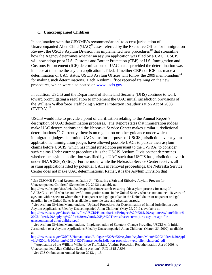#### **C. Unaccompanied Children**

In conjunction with the CISOMB's recommendation<sup>8</sup> to accept jurisdiction of Unaccompanied Alien Child  $(UAC)^9$  cases referred by the Executive Office for Immigration Review, the USCIS Asylum Division has implemented new procedures<sup>10</sup> that streamline how the Agency determines whether an asylum application was filed by a UAC. USCIS will now adopt prior U.S. Customs and Border Protection (CBP) or U.S. Immigration and Customs Enforcement (ICE) determinations of UAC status provided the determination was in place at the time the asylum application is filed. If neither CBP nor ICE has made a determination of UAC status, USCIS Asylum Offices will follow the  $2009$  memorandum<sup>11</sup> for making such determinations. Each Asylum Office received training on the new procedures, which were also posted on [www.uscis.gov.](http://www.uscis.gov/)

In addition, USCIS and the Department of Homeland Security (DHS) continue to work toward promulgating a regulation to implement the UAC initial jurisdiction provisions of the William Wilberforce Trafficking Victims Protection Reauthorization Act of 2008  $(TVPRA).<sup>12</sup>$ 

USCIS would like to provide a point of clarification relating to the Annual Report's description of UAC determination processes. The Report states that immigration judges make UAC determinations and the Nebraska Service Center makes similar jurisdictional determinations.<sup>13</sup> Currently, there is no regulation or other guidance under which immigration judges determine UAC status for purposes of USCIS jurisdiction over asylum applications. Immigration judges have allowed possible UACs to pursue their asylum claims before USCIS, which has initial jurisdiction pursuant to the TVPRA, to consider such claims Under current procedures it is the USCIS Asylum Division that determines whether the asylum application was filed by a UAC such that USCIS has jurisdiction over it under INA § 208(b)(3)(C). Furthermore, while the Nebraska Service Center receives all asylum applications filed by potential UACs in removal proceedings, the Nebraska Service Center does not make UAC determinations. Rather, it is the Asylum Division that

 $\overline{a}$ 8 *See* CISOMB Formal Recommendation 54, "Ensuring a Fair and Effective Asylum Process for Unaccompanied Children" (September 20, 2012) available at:

http://www.dhs.gov/sites/default/files/publications/cisomb-ensuring-fair-asylum-process-for-uac.pdf <sup>9</sup> A UAC is a child who has no lawful immigration status in the United States, who has not attained 18 years of age, and with respect to whom there is no parent or legal guardian in the United States or no parent or legal guardian in the United States is available to provide care and physical custody.

<sup>&</sup>lt;sup>10</sup> See Asylum Division Memorandum, "Updated Procedures for Determination of Initial Jurisdiction over Asylum Applications Filed by Unaccompanied Alien Children" (May 28, 2013), available at: [http://www.uscis.gov/sites/default/files/USCIS/Humanitarian/Refugees%20%26%20Asylum/Asylum/Minor%](http://www.uscis.gov/sites/default/files/USCIS/Humanitarian/Refugees%20%26%20Asylum/Asylum/Minor%20Children%20Applying%20for%20Asylum%20By%20Themselves/determ-juris-asylum-app-file-unaccompanied-alien-children.pdf) [20Children%20Applying%20for%20Asylum%20By%20Themselves/determ-juris-asylum-app-file](http://www.uscis.gov/sites/default/files/USCIS/Humanitarian/Refugees%20%26%20Asylum/Asylum/Minor%20Children%20Applying%20for%20Asylum%20By%20Themselves/determ-juris-asylum-app-file-unaccompanied-alien-children.pdf)[unaccompanied-alien-children.pdf](http://www.uscis.gov/sites/default/files/USCIS/Humanitarian/Refugees%20%26%20Asylum/Asylum/Minor%20Children%20Applying%20for%20Asylum%20By%20Themselves/determ-juris-asylum-app-file-unaccompanied-alien-children.pdf)

<sup>&</sup>lt;sup>11</sup> See Asylum Division Memorandum, "Implementation of Statutory Change Providing USCIS with Initial Jurisdiction over Asylum Applications Filed by Unaccompanied Alien Children" (March 25, 2009), available at:

[http://www.uscis.gov/USCIS/Humanitarian/Refugees%20&%20Asylum/Asylum/Minor%20Children%20Appl](http://www.uscis.gov/USCIS/Humanitarian/Refugees%20&%20Asylum/Asylum/Minor%20Children%20Applying%20for%20Asylum%20By%20Themselves/jurisdiction-provision-tvpra-alien-children2.pdf) [ying%20for%20Asylum%20By%20Themselves/jurisdiction-provision-tvpra-alien-children2.pdf](http://www.uscis.gov/USCIS/Humanitarian/Refugees%20&%20Asylum/Asylum/Minor%20Children%20Applying%20for%20Asylum%20By%20Themselves/jurisdiction-provision-tvpra-alien-children2.pdf)

<sup>&</sup>lt;sup>12</sup> "Application of the William Wilberforce Trafficking Victims Protection Reauthorization Act of 2008 to Unaccompanied Alien Children Seeking Asylum", RIN 1615-AB96.

<sup>13</sup> *See* CIS Ombudsman Annual Report 2013, p. 13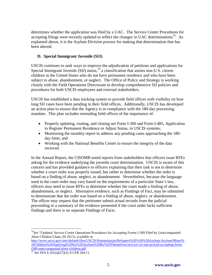determines whether the application was filed by a UAC. The Service Center Procedures for accepting filings were recently updated to reflect the changes in UAC determinations<sup>14</sup>. As explained above, it is the Asylum Division process for making that determination that has been altered.

#### **D. Special Immigrant Juvenile (SIJ)**

USCIS continues to seek ways to improve the adjudication of petitions and applications for Special Immigrant Juvenile (SIJ) status,<sup>15</sup> a classification that assists non-U.S. citizen children in the United States who do not have permanent residence and who have been subject to abuse, abandonment, or neglect. The Office of Policy and Strategy is working closely with the Field Operations Directorate to develop comprehensive SIJ policies and procedures for both USCIS employees and external stakeholders.

USCIS has established a data tracking system to provide field offices with visibility on how long SIJ cases have been pending in their field offices. Additionally, USCIS has developed an action plan to ensure that the Agency is in compliance with the 180-day processing mandate. This plan includes reminding field offices of the importance of:

- Properly updating, routing, and closing out Form I-360 and Form I-485, Application to Register Permanent Residence or Adjust Status, in USCIS systems;
- Monitoring the monthly report to address any pending cases approaching the 180day limit; and
- Working with the National Benefits Center to ensure the integrity of the data received.

In the Annual Report, the CISOMB noted reports from stakeholders that officers issue RFEs asking for the evidence underlying the juvenile court determination. USCIS is aware of this concern and has provided guidance to officers explaining that their task is not to determine whether a court order was properly issued, but rather to determine whether the order is based on a finding of abuse, neglect, or abandonment. Nevertheless, because the language used in the court order may vary based on the requirements of a particular State's law, officers may need to issue RFEs to determine whether the court made a finding of abuse, abandonment, or neglect. Alternative evidence, such as Findings of Fact, may be submitted to demonstrate that the order was based on a finding of abuse, neglect, or abandonment. The officer may request that the petitioner submit actual records from the judicial proceeding or a summary of the evidence presented if the court order lacks sufficient findings and there is no separate Findings of Facts.

[http://www.uscis.gov/sites/default/files/USCIS/Humanitarian/Refugees%20%26%20Asylum/Asylum/Minor%](http://www.uscis.gov/sites/default/files/USCIS/Humanitarian/Refugees%20%26%20Asylum/Asylum/Minor%20Children%20Applying%20for%20Asylum%20By%20Themselves/service-ctr-ops-proced-accepting-form-i589-unaccompanied-alien-children.pdf) [20Children%20Applying%20for%20Asylum%20By%20Themselves/service-ctr-ops-proced-accepting-form](http://www.uscis.gov/sites/default/files/USCIS/Humanitarian/Refugees%20%26%20Asylum/Asylum/Minor%20Children%20Applying%20for%20Asylum%20By%20Themselves/service-ctr-ops-proced-accepting-form-i589-unaccompanied-alien-children.pdf)[i589-unaccompanied-alien-children.pdf](http://www.uscis.gov/sites/default/files/USCIS/Humanitarian/Refugees%20%26%20Asylum/Asylum/Minor%20Children%20Applying%20for%20Asylum%20By%20Themselves/service-ctr-ops-proced-accepting-form-i589-unaccompanied-alien-children.pdf)

 $\overline{a}$ <sup>14</sup>See "Updated Service Center Operations Procedures for Accepting Forms I-589 Filed by Unaccompanied Alien Children"(June, 04 2013), available at:

<sup>&</sup>lt;sup>15</sup> *See* INA § 101(a)(27)(J); 8 CFR 204.11.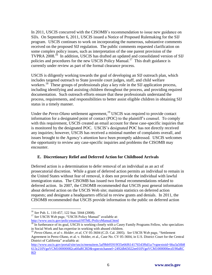In 2011, USCIS concurred with the CISOMB's recommendation to issue new guidance on SIJs. On September 6, 2011, USCIS issued a Notice of Proposed Rulemaking for the SIJ program. USCIS continues to work on incorporating the numerous, substantive comments received on the proposed SIJ regulation. The public comments requested clarification on some complex policy issues, such as interpretation of the one parent provision of the TVPRA 2008.<sup>16</sup> In addition, USCIS has drafted an updated and consolidated version of SIJ policies and procedures for the new USCIS Policy Manual.<sup>17</sup> This draft guidance is currently under review as part of the formal clearance process.

USCIS is diligently working towards the goal of developing an SIJ outreach plan, which includes targeted outreach to State juvenile court judges, staff, and child welfare workers.<sup>18</sup> These groups of professionals play a key role in the SIJ application process, including identifying and assisting children throughout the process, and providing required documentation. Such outreach efforts ensure that these professionals understand the process, requirements, and responsibilities to better assist eligible children in obtaining SIJ status in a timely manner.

Under the *Perez-Olano* settlement agreement,<sup>19</sup> USCIS was required to provide contact information for a designated point of contact (POC) to the plaintiff's counsel. To comply with this requirement, USCIS created an email account for these case-specific inquiries that is monitored by the designated POC. USCIS's designated POC has not directly received any inquiries; however, USCIS has received a minimal number of complaints overall, and issues brought to the Agency's attention have been promptly addressed. USCIS welcomes the opportunity to review any case-specific inquiries and problems the CISOMB may encounter.

#### **E. Discretionary Relief and Deferred Action for Childhood Arrivals**

Deferred action is a determination to defer removal of an individual as an act of prosecutorial discretion. While a grant of deferred action permits an individual to remain in the United States without fear of removal, it does not provide the individual with lawful immigration status. The CISOMB has issued two formal recommendations related to deferred action. In 2007, the CISOMB recommended that USCIS post general information about deferred action on the USCIS Web site; maintain statistics on deferred action requests; and designate a headquarters official to review grants and denials. In 2011, the CISOMB recommended that USCIS provide information to the public on deferred action

<sup>17</sup> See USCIS Web page, "USCIS Policy Manual" available at:

 $\overline{a}$ <sup>16</sup> *See* Pub. L. 110-457, 122 Stat. 5044 (2008).

<http://www.uscis.gov/policymanual/HTML/PolicyManual.html>

<sup>&</sup>lt;sup>18</sup> In furtherance of its goal, USCIS is working closely with a Casey Family Programs Fellow, who specializes in Social Work and has expertise in working with abused children.

<sup>19</sup> *Perez-Olano, et al v. Holder, et al,* CV 05-3604 (C.D. Cal. 2005). *See* USCIS Web page, "Settlement Agreement in Perez-Olano, et al. v. Holder, et al., Case No. CV 05-3604, in U.S. District Court for the Central District of California" available at:

[http://www.uscis.gov/portal/site/uscis/menuitem.5af9bb95919f35e66f614176543f6d1a/?vgnextoid=bba3a56b8](http://www.uscis.gov/portal/site/uscis/menuitem.5af9bb95919f35e66f614176543f6d1a/?vgnextoid=bba3a56b8613c210VgnVCM100000082ca60aRCRD&vgnextchannel=2492db65022ee010VgnVCM1000000ecd190aRCRD) [613c210VgnVCM100000082ca60aRCRD&vgnextchannel=2492db65022ee010VgnVCM1000000ecd190aRC](http://www.uscis.gov/portal/site/uscis/menuitem.5af9bb95919f35e66f614176543f6d1a/?vgnextoid=bba3a56b8613c210VgnVCM100000082ca60aRCRD&vgnextchannel=2492db65022ee010VgnVCM1000000ecd190aRCRD) [RD](http://www.uscis.gov/portal/site/uscis/menuitem.5af9bb95919f35e66f614176543f6d1a/?vgnextoid=bba3a56b8613c210VgnVCM100000082ca60aRCRD&vgnextchannel=2492db65022ee010VgnVCM1000000ecd190aRCRD)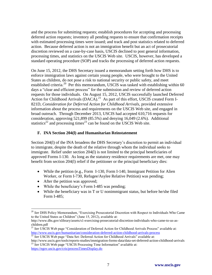and the process for submitting requests; establish procedures for accepting and processing deferred action requests; inventory all pending requests to ensure that confirmation receipts with estimated processing times were issued; and track and post statistics related to deferred action. Because deferred action is not an immigration benefit but an act of prosecutorial discretion reviewed on a case-by-case basis, USCIS declined to post general information, processing times, and statistics on the USCIS Web site. USCIS, however, has developed a standard operating procedure (SOP) and tracks the processing of deferred action requests.

On June 15, 2012, the DHS Secretary issued a memorandum setting forth how DHS is to enforce immigration laws against certain young people, who were brought to the United States as children, do not pose a risk to national security or public safety, and meet established criteria.<sup>20</sup> Per this memorandum, USCIS was tasked with establishing within 60 days a "clear and efficient process" for the submission and review of deferred action requests for those individuals. On August 15, 2012, USCIS successfully launched Deferred Action for Childhood Arrivals (DACA).<sup>21</sup> As part of this effort, USCIS created Form I-821D, *Consideration for Deferred Action for Childhood Arrivals,* provided extensive information about the process and requirements on the USCIS Web site, and engaged in broad outreach. Through December 2013, USCIS had accepted 610,716 requests for consideration, approving 521,899 (85.5%) and denying 16,049 (2.6%). Additional statistics<sup>22</sup> and processing times<sup>23</sup> can be found on the USCIS Web site.

#### **F. INA Section 204(l) and Humanitarian Reinstatement**

Section 204(l) of the INA broadens the DHS Secretary's discretion to permit an individual to immigrate, despite the death of the relative through whom the individual seeks to immigrate. Relief under section 204(l) is not limited to the principal beneficiaries of approved Forms I-130. As long as the statutory residence requirements are met, one may benefit from section 204(l) relief if the petitioner or the principal beneficiary dies:

- While the petition (e.g., Form I-130, Form I-140, Immigrant Petition for Alien Worker, or Form I-730, Refugee/Asylee Relative Petition) was pending;
- After the petition was approved;
- While the beneficiary's Form I-485 was pending;
- While the beneficiary was in T or U nonimmigrant status, but before he/she filed Form I-485;

 $\overline{a}$ <sup>20</sup> *See* DHS Policy Memorandum, "Exercising Prosecutorial Discretion with Respect to Individuals Who Came to the United States as Children" (June 15, 2012), available at:

http://www.dhs.gov/xlibrary/assets/s1-exercising-prosecutorial-discretion-individuals-who-came-to-us-aschildren.pdf

<sup>&</sup>lt;sup>21</sup> See USCIS Web page "Consideration of Deferred Action for Childhood Arrivals Process" available at: <http://www.uscis.gov/humanitarian/consideration-deferred-action-childhood-arrivals-process>

<sup>22</sup> *See* USCIS Web page "Data Set: Deferred Action for Childhood Arrivals" available at: http://www.uscis.gov/tools/reports-studies/immigration-forms-data/data-set-deferred-action-childhood-arrivals

<sup>&</sup>lt;sup>23</sup> See USCIS Web page "USCIS Processing Time Information" available at: <https://egov.uscis.gov/cris/processTimesDisplay.do>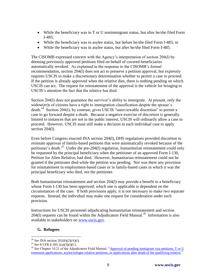- While the beneficiary was in T or U nonimmigrant status, but after he/she filed Form I-485;
- While the beneficiary was in asylee status, but before he/she filed Form I-485; or
- While the beneficiary was in asylee status, but after he/she filed Form I-485.

The CISOMB expressed concern with the Agency's interpretation of section 204(l) by deeming previously approved petitions filed on behalf of covered beneficiaries automatically revoked. As explained in the response to the CISOMB's formal recommendation, section 204(l) does not act to preserve a petition approval, but expressly requires USCIS to make a discretionary determination whether to permit a case to proceed. If the petition is already approved when the relative dies, there is nothing pending on which USCIS can act. The request for reinstatement of the approval is the vehicle for bringing to USCIS's attention the fact that the relative has died.

Section 204(l) does not guarantee the survivor's ability to immigrate. At present, only the widow(er)s of citizens have a right to immigration classification despite the spouse's death.<sup>24</sup> Section 204(l), by contrast, gives USCIS "unreviewable discretion" to permit a case to go forward despite a death. Because a negative exercise of discretion is generally limited to instances that are not in the public interest, USCIS will ordinarily allow a case to proceed. However, USCIS must still make a decision in each individual case to apply section 204(l).

Even before Congress enacted INA section 204(l), DHS regulations provided discretion to reinstate approval of family-based petitions that were automatically revoked because of the petitioner's death.<sup>25</sup> Under the pre-204(1) regulation, humanitarian reinstatement could only be requested by the principal beneficiary when the petitioner of an approved Form I-130, Petition for Alien Relative, had died. However, humanitarian reinstatement could not be granted if the petitioner died while the petition was pending. Nor was there any provision for reinstatement in employment-based cases or in family-based cases in which it was the principal beneficiary who died, not the petitioner.

Both humanitarian reinstatement and section 204(l) may provide a benefit to a beneficiary whose Form I-130 has been approved; which one is applicable is dependent on the circumstances of the case. If both provisions apply, it is not necessary to make two separate requests. Instead, the individual may make one request for consideration under each provision.

Instructions for USCIS personnel adjudicating humanitarian reinstatement and section  $204(1)$  requests can be found within the Adjudicators Field Manual.<sup>26</sup> Information is also available to stakeholders on [www.uscis.gov.](http://www.uscis.gov/)

#### **G. Refugees**

 $\overline{a}$ <sup>24</sup> *See* INA section 201(b)(2)(A)(i).

<sup>25</sup> *See* 8 CFR § 205.1(a)(3)(i)(C).

<sup>&</sup>lt;sup>26</sup> See Chapter 10.21 of the Adjudicators Field Manual, "Approval of pending immigrant visa petitions, T or U [extension applications, asylee/refugee relative petitions, or applications after death of the qualifying relative.](http://www.uscis.gov/ilink/docView/AFM/HTML/AFM/0-0-0-1/Chapter10-21.html)"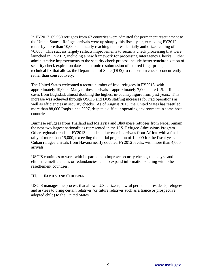In FY2013, 69,930 refugees from 67 countries were admitted for permanent resettlement to the United States. Refugee arrivals were up sharply this fiscal year, exceeding FY2012 totals by more than 10,000 and nearly reaching the presidentially authorized ceiling of 70,000. This success largely reflects improvements to security check processing that were launched in FY2012, including a new framework for processing Interagency Checks. Other administrative improvements to the security check process include better synchronization of security check expiration dates; electronic resubmission of expired fingerprints; and a technical fix that allows the Department of State (DOS) to run certain checks concurrently rather than consecutively.

The United States welcomed a record number of Iraqi refugees in FY2013, with approximately 19,000. Many of these arrivals – approximately 7,000 – are U.S.-affiliated cases from Baghdad, almost doubling the highest in-country figure from past years. This increase was achieved through USCIS and DOS staffing increases for Iraq operations as well as efficiencies in security checks. As of August 2013, the United States has resettled more than 88,000 Iraqis since 2007, despite a difficult operating environment in some host countries.

Burmese refugees from Thailand and Malaysia and Bhutanese refugees from Nepal remain the next two largest nationalities represented in the U.S. Refugee Admissions Program. Other regional trends in FY2013 include an increase in arrivals from Africa, with a final tally of more than 15,000, exceeding the initial projection of 12,000 for the fiscal year. Cuban refugee arrivals from Havana nearly doubled FY2012 levels, with more than 4,000 arrivals.

USCIS continues to work with its partners to improve security checks, to analyze and eliminate inefficiencies or redundancies, and to expand information-sharing with other resettlement countries.

#### **III. FAMILY AND CHILDREN**

USCIS manages the process that allows U.S. citizens, lawful permanent residents, refugees and asylees to bring certain relatives (or future relatives such as a fiancé or prospective adopted child) to the United States.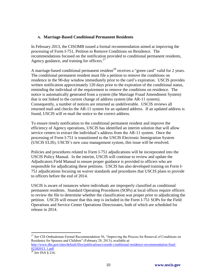#### **A. Marriage-Based Conditional Permanent Residents**

In February 2013, the CISOMB issued a formal recommendation aimed at improving the processing of Form I-751, Petition to Remove Conditions on Residence. The recommendations focused on the notification provided to conditional permanent residents, Agency guidance, and training for officers. $27$ 

A marriage-based conditional permanent resident<sup>28</sup> receives a "green card" valid for 2 years. The conditional permanent resident must file a petition to remove the conditions on residence in the 90-day window immediately prior to the card's expiration. USCIS provides written notification approximately 120 days prior to the expiration of the conditional status, reminding the individual of the requirement to remove the conditions on residence. The notice is automatically generated from a system (the Marriage Fraud Amendment System) that is not linked to the current change of address system (the AR-11 system). Consequently, a number of notices are returned as undeliverable. USCIS reviews all returned mail and checks the AR-11 system for an updated address. If an updated address is found, USCIS will re-mail the notice to the correct address.

To ensure timely notification to the conditional permanent resident and improve the efficiency of Agency operations, USCIS has identified an interim solution that will allow service centers to extract the individual's address from the AR-11 system. Once the processing of Form I-751 is transitioned to the USCIS Electronic Immigration System (USCIS ELIS), USCIS's new case management system, this issue will be resolved.

Policies and procedures related to Form I-751 adjudications will be incorporated into the USCIS Policy Manual. In the interim, USCIS will continue to review and update the Adjudicators Field Manual to ensure proper guidance is provided to officers who are responsible for adjudicating these petitions. USCIS has also developed training on Form I-751 adjudications focusing on waiver standards and procedures that USCIS plans to provide to officers before the end of 2014.

USCIS is aware of instances where individuals are improperly classified as conditional permanent residents. Standard Operating Procedures (SOPs) at local offices require officers to review the file to determine whether the classification was proper prior to adjudicating the petition. USCIS will ensure that this step is included in the Form I-751 SOPs for the Field Operations and Service Center Operations Directorates, both of which are scheduled for release in 2014.

<sup>27</sup> See CIS Ombudsman Formal Recommendation 56, "Improving the Process for Removal of Conditions on Residence for Spouses and Children" (February 28, 2013); available at:

 $\overline{a}$ 

[http://www.dhs.gov/sites/default/files/publications/cisomb-conditional-residence-recommendation-final-](http://www.dhs.gov/sites/default/files/publications/cisomb-conditional-residence-recommendation-final-02282013_1.pdf)[02282013\\_1.pdf](http://www.dhs.gov/sites/default/files/publications/cisomb-conditional-residence-recommendation-final-02282013_1.pdf)

<sup>28</sup> *See* INA § 216.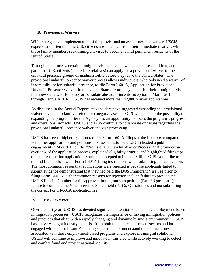### **B. Provisional Waivers**

With the Agency's implementation of the provisional unlawful presence waiver, USCIS expects to shorten the time U.S. citizens are separated from their immediate relatives while those family members seek immigrant visas to become lawful permanent residents of the United States.

Through this process, certain immigrant visa applicants who are spouses, children, and parents of U.S. citizens (immediate relatives) can apply for a provisional waiver of the unlawful presence ground of inadmissibility before they leave the United States. The provisional unlawful presence waiver process allows individuals, who only need a waiver of inadmissibility for unlawful presence, to file Form I-601A, Application for Provisional Unlawful Presence Waiver, in the United States before they depart for their immigrant visa interviews at a U.S. Embassy or consulate abroad. Since its inception in March 2013 through February 2014, USCIS has received more than 42,000 waiver applications.

As discussed in the Annual Report, stakeholders have suggested expanding the provisional waiver coverage to family preference category cases. USCIS will consider the possibility of expanding the program after the Agency has an opportunity to assess the program's progress and operational impacts. USCIS and DOS continue to collaborate on issues regarding the provisional unlawful presence waiver and visa processing.

USCIS has seen a higher rejection rate for Form I-601A filings at the Lockbox compared with other applications and petitions. To assist customers, USCIS hosted a public engagement in May 2013 on the "Provisional Unlawful Waiver Process" that provided an overview of the application process, explained eligibility criteria, and highlighted filing tips to better ensure that applications would be accepted at intake. Still, USCIS would like to remind filers to follow all Form I-601A filing instructions when submitting the application. The most common reason that applications were rejected is because applicants failed to submit evidence demonstrating that they had paid the DOS Immigrant Visa Fee prior to filing Form I-601A. Other common reasons for rejection include failure to provide the USCIS Receipt Number for the approved immigrant visa petition (Part 2, Question 1), failure to complete the Visa Interview Status field (Part 2, Question 5), and not submitting the correct Form I-601A application fee.

#### **IV. EMPLOYMENT**

Over the past year, USCIS has devoted significant attention to enhancing employment-based immigration processes. USCIS recognizes the importance of having immigration policies and practices that align with a rapidly changing and dynamic business environment. USCIS has actively sought industry expertise from both the public and private sectors and has engaged with other relevant Federal agencies to better understand the unique issues associated with these employment-based programs and explore meaningful solutions. USCIS will continue to improve and innovate in this area while actively working to detect and combat fraud and protect national security.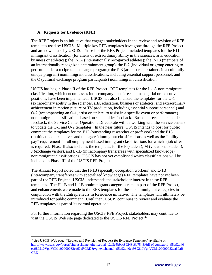### **A. Requests for Evidence (RFE)**

The RFE Project is an initiative that engages stakeholders in the review and revision of RFE templates used by USCIS. Multiple key RFE templates have gone through the RFE Project and are now in use by USCIS. Phase I of the RFE Project included templates for the E11 immigrant classification (for aliens of extraordinary ability in the sciences, arts, education, business or athletics); the P-1A (internationally recognized athletes); the P-1B (members of an internationally recognized entertainment group); the P-2 (individual or group entering to perform under a reciprocal exchange program); the P-3 (artists or entertainers in a culturally unique program) nonimmigrant classifications, including essential support personnel; and the Q (cultural exchange program participants) nonimmigrant classification.

USCIS has begun Phase II of the RFE Project. RFE templates for the L-1A nonimmigrant classification, which encompasses intra-company transferees in managerial or executive positions, have been implemented. USCIS has also finalized the templates for the O-1 (extraordinary ability in the sciences, arts, education, business or athletics, and extraordinary achievement in motion picture or TV production, including essential support personnel) and O-2 (accompanying an O-1, artist or athlete, to assist in a specific event or performance) nonimmigrant classifications based on stakeholder feedback. Based on recent stakeholder feedback, the Service Center Operations Directorate will be working with the service centers to update the O-1 and O-2 templates. In the near future, USCIS intends to post for public comment the templates for the E12 (outstanding researcher or professor) and the E13 (multinational executives and managers) immigrant classifications as well as the "ability to pay" requirement for all employment-based immigrant classifications for which a job offer is required. Phase II also includes the templates for the F (student), M (vocational student), J (exchange visitor), and L-1B (intracompany transferees with specialized knowledge) nonimmigrant classifications. USCIS has not yet established which classifications will be included in Phase III of the USCIS RFE Project.

The Annual Report noted that the H-1B (specialty occupation workers) and L-1B (intracompany transferees with specialized knowledge) RFE templates have not yet been part of the RFE Project. USCIS understands the stakeholder interest in these RFE templates. The H-1B and L-1B nonimmigrant categories remain part of the RFE Project, and enhancements were made to the RFE templates for these nonimmigrant categories in conjunction with the Entrepreneurs in Residence initiative. The templates will ultimately be introduced for public comment. Until then, USCIS continues to review and evaluate the RFE templates as part of its normal operations.

For further information regarding the USCIS RFE Project, stakeholders may continue to visit the USCIS Web site page dedicated to the USCIS RFE Project.<sup>29</sup>

 $\overline{a}$ <sup>29</sup> See USCIS Web page, "Review and Revision of Request for Evidence Templates" available at: [http://www.uscis.gov/portal/site/uscis/menuitem.eb1d4c2a3e5b9ac89243c6a7543f6d1a/?vgnextoid=95e92d40](http://www.uscis.gov/portal/site/uscis/menuitem.eb1d4c2a3e5b9ac89243c6a7543f6d1a/?vgnextoid=95e92d40ee989210VgnVCM100000082ca60aRCRD&vgnextchannel=95e92d40ee989210VgnVCM100000082ca60aRCRD) [ee989210VgnVCM100000082ca60aRCRD&vgnextchannel=95e92d40ee989210VgnVCM100000082ca60aR](http://www.uscis.gov/portal/site/uscis/menuitem.eb1d4c2a3e5b9ac89243c6a7543f6d1a/?vgnextoid=95e92d40ee989210VgnVCM100000082ca60aRCRD&vgnextchannel=95e92d40ee989210VgnVCM100000082ca60aRCRD) **[CRD](http://www.uscis.gov/portal/site/uscis/menuitem.eb1d4c2a3e5b9ac89243c6a7543f6d1a/?vgnextoid=95e92d40ee989210VgnVCM100000082ca60aRCRD&vgnextchannel=95e92d40ee989210VgnVCM100000082ca60aRCRD)**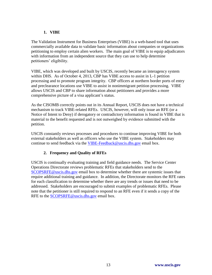## **1. VIBE**

The Validation Instrument for Business Enterprises (VIBE) is a web-based tool that uses commercially available data to validate basic information about companies or organizations petitioning to employ certain alien workers. The main goal of VIBE is to equip adjudicators with information from an independent source that they can use to help determine petitioners' eligibility.

VIBE, which was developed and built by USCIS, recently became an interagency system within DHS. As of October 4, 2013, CBP has VIBE access to assist in L-1 petition processing and to promote program integrity. CBP officers at northern border ports of entry and preclearance locations use VIBE to assist in nonimmigrant petition processing. VIBE allows USCIS and CBP to share information about petitioners and provides a more comprehensive picture of a visa applicant's status.

As the CISOMB correctly points out in its Annual Report, USCIS does not have a technical mechanism to track VIBE-related RFEs. USCIS, however, will only issue an RFE (or a Notice of Intent to Deny) if derogatory or contradictory information is found in VIBE that is material to the benefit requested and is not outweighed by evidence submitted with the petition.

USCIS constantly reviews processes and procedures to continue improving VIBE for both external stakeholders as well as officers who use the VIBE system. Stakeholders may continue to send feedback via the [VIBE-Feedback@uscis.dhs.gov](mailto:VIBE-Feedback@uscis.dhs.gov) email box.

## **2. Frequency and Quality of RFEs**

USCIS is continually evaluating training and field guidance needs. The Service Center Operations Directorate reviews problematic RFEs that stakeholders send to the [SCOPSRFE@uscis.dhs.gov](mailto:SCOPSRFE@uscis.dhs.gov) email box to determine whether there are systemic issues that require additional training and guidance. In addition, the Directorate monitors the RFE rates for each classification to determine whether there are any trends or issues that need to be addressed. Stakeholders are encouraged to submit examples of problematic RFEs. Please note that the petitioner is still required to respond to an RFE even if it sends a copy of the RFE to the **SCOPSRFE@uscis.dhs.gov** email box.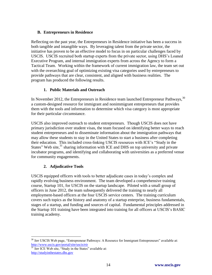## **B. Entrepreneurs in Residence**

Reflecting on the past year, the Entrepreneurs in Residence initiative has been a success in both tangible and intangible ways. By leveraging talent from the private sector, the initiative has proven to be an effective model to focus in on particular challenges faced by USCIS. USCIS recruited both startup experts from the private sector, using DHS's Loaned Executive Program, and internal immigration experts from across the Agency to form a Tactical Team. Working within the framework of current immigration law, the team set out with the overarching goal of optimizing existing visa categories used by entrepreneurs to provide pathways that are clear, consistent, and aligned with business realities. The program has produced the following results.

## **1. Public Materials and Outreach**

In November 2012, the Entrepreneurs in Residence team launched Entrepreneur Pathways,  $30$ a custom-designed resource for immigrant and nonimmigrant entrepreneurs that provides them with the tools and information to determine which visa category is most appropriate for their particular circumstance.

USCIS also improved outreach to student entrepreneurs. Though USCIS does not have primary jurisdiction over student visas, the team focused on identifying better ways to reach student entrepreneurs and to disseminate information about the immigration pathways that may allow these students to stay in the United States to start a business after completing their education. This included cross-linking USCIS resources with ICE's "Study in the States" Web site,<sup>31</sup> sharing information with ICE and DHS on top university and private incubator programs, and identifying and collaborating with universities as a preferred venue for community engagements.

## **2. Adjudicative Tools**

USCIS equipped officers with tools to better adjudicate cases in today's complex and rapidly evolving business environment. The team developed a comprehensive training course, Startup 101, for USCIS on the startup landscape. Piloted with a small group of officers in June 2012, the team subsequently delivered the training to nearly all employment-based officers at the four USCIS service centers. The training curriculum covers such topics as the history and anatomy of a startup enterprise, business fundamentals, stages of a startup, and funding and sources of capital. Fundamental principles addressed in the Startup 101 training have been integrated into training for all officers at USCIS's BASIC training academy.

 $\overline{a}$ <sup>30</sup> *See* USCIS Web page, "Entrepreneur Pathways: A Resource for Immigrant Entrepreneurs" available at[:](http://www.uscis.gov/portal/site/uscis/eir) <http://www.uscis.gov/portal/site/uscis/eir>

<sup>&</sup>lt;sup>31</sup> See ICE Web site, "Study in the States" available at: [http://studyinthestates.dhs.gov](http://studyinthestates.dhs.gov/)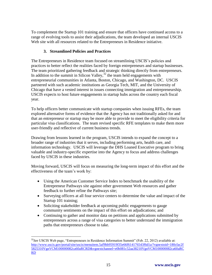To complement the Startup 101 training and ensure that officers have continued access to a range of evolving tools to assist their adjudications, the team developed an internal USCIS Web site with all resources related to the Entrepreneurs in Residence initiative.

## **3. Streamlined Policies and Practices**

The Entrepreneurs in Residence team focused on streamlining USCIS's policies and practices to better reflect the realities faced by foreign entrepreneurs and startup businesses. The team prioritized gathering feedback and strategic thinking directly from entrepreneurs. In addition to the summit in Silicon Valley,  $32$  the team held engagements with entrepreneurial communities in Atlanta, Boston, Chicago, and Washington, DC. USCIS partnered with such academic institutions as Georgia Tech, MIT, and the University of Chicago that have a vested interest in issues connecting immigration and entrepreneurship. USCIS expects to host future engagements in startup hubs across the country each fiscal year.

To help officers better communicate with startup companies when issuing RFEs, the team explored alternative forms of evidence that the Agency has not traditionally asked for and that an entrepreneur or startup may be more able to provide to meet the eligibility criteria for particular visa classifications. The team revised specific RFE templates to make them more user-friendly and reflective of current business trends.

Drawing from lessons learned in the program, USCIS intends to expand the concept to a broader range of industries that it serves, including performing arts, health care, and information technology. USCIS will leverage the DHS Loaned Executive program to bring valuable and industry-specific expertise into the Agency to focus and address challenges faced by USCIS in these industries.

Moving forward, USCIS will focus on measuring the long-term impact of this effort and the effectiveness of the team's work by:

- Using the American Customer Service Index to benchmark the usability of the Entrepreneur Pathways site against other government Web resources and gather feedback to further refine the Pathways site;
- Surveying officers at all four service centers to determine the value and impact of the Startup 101 training;
- Soliciting stakeholder feedback at upcoming public engagements to gauge community sentiments on the impact of this effort on adjudications; and
- Continuing to gather and monitor data on petitions and applications submitted by entrepreneurs across a range of visa categories to better understand the immigration paths that entrepreneurs choose to take.

 $\overline{a}$ <sup>32</sup>See USCIS Web page, "Entrepreneurs in Residence Information Summit" (Feb. 22, 2012) available at: [http://www.uscis.gov/portal/site/uscis/menuitem.5af9bb95919f35e66f614176543f6d1a/?vgnextoid=180cfac2f](http://www.uscis.gov/portal/site/uscis/menuitem.5af9bb95919f35e66f614176543f6d1a/?vgnextoid=180cfac2f5825310VgnVCM100000082ca60aRCRD&vgnextchannel=e0b081c52aa38210VgnVCM100000082ca60aRCRD) [5825310VgnVCM100000082ca60aRCRD&vgnextchannel=e0b081c52aa38210VgnVCM100000082ca60aRC](http://www.uscis.gov/portal/site/uscis/menuitem.5af9bb95919f35e66f614176543f6d1a/?vgnextoid=180cfac2f5825310VgnVCM100000082ca60aRCRD&vgnextchannel=e0b081c52aa38210VgnVCM100000082ca60aRCRD) [RD](http://www.uscis.gov/portal/site/uscis/menuitem.5af9bb95919f35e66f614176543f6d1a/?vgnextoid=180cfac2f5825310VgnVCM100000082ca60aRCRD&vgnextchannel=e0b081c52aa38210VgnVCM100000082ca60aRCRD)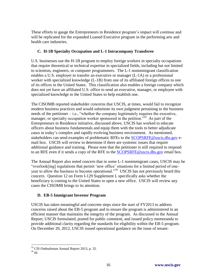These efforts to gauge the Entrepreneurs in Residence program's impact will continue and will be replicated for the expanded Loaned Executive program in the performing arts and health care industries.

## **C. H-1B Specialty Occupation and L-1 Intracompany Transferee**

U.S. businesses use the H-1B program to employ foreign workers in specialty occupations that require theoretical or technical expertise in specialized fields, including but not limited to scientists, engineers, or computer programmers. The L-1 nonimmigrant classification enables a U.S. employer to transfer an executive or manager (L-1A) or a professional worker with specialized knowledge (L-1B) from one of its affiliated foreign offices to one of its offices in the United States. This classification also enables a foreign company which does not yet have an affiliated U.S. office to send an executive, manager, or employee with specialized knowledge to the United States to help establish one.

The CISOMB reported stakeholder concerns that USCIS, at times, would fail to recognize modern business practices and would substitute its own judgment pertaining to the business needs of the petitioner – i.e., "whether the company legitimately requires the executive, manager, or specialty occupation worker sponsored in the petition.<sup>33</sup> As part of the Entrepreneurs in Residence initiative, discussed above, USCIS has worked to educate officers about business fundamentals and equip them with the tools to better adjudicate cases in today's complex and rapidly evolving business environment. As mentioned, stakeholders can send examples of problematic RFEs to the [SCOPSRFE@uscis.dhs.gov](mailto:SCOPSRFE@uscis.dhs.gov) email box. USCIS will review to determine if there are systemic issues that require additional guidance and training. Please note that the petitioner is still required to respond to an RFE even if it sends a copy of the RFE to the **SCOPSRFE@uscis.dhs.gov** email box.

The Annual Report also noted concern that in some L-1 nonimmigrant cases, USCIS may be "overlook[ing] regulations that permit 'new office' situations for a limited period of oneyear to allow the business to become operational."<sup>34</sup> USCIS has not previously heard this concern. Question 12 on Form I-129 Supplement L specifically asks whether the beneficiary is coming to the United States to open a new office. USCIS will review any cases the CISOMB brings to its attention.

# **D. EB-5 Immigrant Investor Program**

USCIS has taken meaningful and concrete steps since the start of FY2013 to address concerns raised about the EB-5 program and to ensure the program is administered in an efficient manner that maintains the integrity of the program. As discussed in the Annual Report, USCIS formulated, posted for public comment, and issued policy memoranda to provide additional clarity regarding the standards for eligibility within the EB-5 program. On December 20, 2012, USCIS issued operational guidance on the issue of tenant-

 $\overline{a}$ 

<sup>&</sup>lt;sup>33</sup> CIS Ombudsman Annual Report 2013, p. 32.

 $34 \overline{1d}$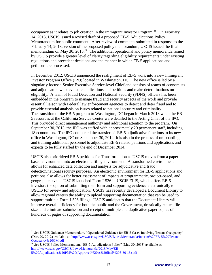occupancy as it relates to job creation in the Immigrant Investor Program.<sup>35</sup> On February 14, 2013, USCIS issued a revised draft of a proposed EB-5 Adjudications Policy Memorandum for public comment. After review of comments submitted in response to the February 14, 2013, version of the proposed policy memorandum, USCIS issued the final memorandum on May 30, 2013.<sup>36</sup> The additional operational and policy memoranda issued by USCIS provide a greater level of clarity regarding eligibility requirements under existing regulations and precedent decisions and the manner in which EB-5 applications and petitions are processed.

In December 2012, USCIS announced the realignment of EB-5 work into a new Immigrant Investor Program Office (IPO) located in Washington, DC. The new office is led by a singularly focused Senior Executive Service-level Chief and consists of teams of economists and adjudicators who, evaluate applications and petitions and make determinations on eligibility. A team of Fraud Detection and National Security (FDNS) officers has been embedded in the program to manage fraud and security aspects of the work and provide essential liaison with Federal law enforcement agencies to detect and deter fraud and to provide essential analysis on issues related to national security and criminality. The transition of the EB-5 program to Washington, DC began in March 2013 when the EB-5 resources at the California Service Center were detailed to the Acting Chief of the IPO. This provided direct management authority and additional attention to the program. On September 30, 2013, the IPO was staffed with approximately 29 permanent staff, including 18 economists. The IPO completed the transfer of EB-5 adjudicative functions to its new office in Washington, DC on September 30, 2014. It is also in the process of on-boarding and training additional personnel to adjudicate EB-5 related petitions and applications and expects to be fully staffed by the end of December 2014.

USCIS also prioritized EB-5 petitions for Transformation as USCIS moves from a paperbased environment into an electronic filing environment. A transformed environment allows for enhanced data collection and analysis for adjudicative and fraud detection/national security purposes. An electronic environment for EB-5 applications and petitions also allows for better assessment of impacts at programmatic, project-based, and geographic levels. USCIS launched Form I-526 in USCIS ELIS, which offers EB-5 investors the option of submitting their form and supporting evidence electronically to USCIS for review and adjudication. USCIS has recently developed a Document Library to allow regional centers the ability to upload supporting documentation that can be used to support multiple Form I-526 filings. USCIS anticipates that the Document Library will improve overall efficiency for both the public and the Government, drastically reduce file size, and eliminate submission and receipt of multiple and duplicative paper copies of hundreds of pages of supporting documentation.

 $\overline{a}$ 

<sup>35</sup> *See* USCIS Guidance Memorandum, "Operational Guidance for EB-5 Cases Involving Tenant-Occupancy" (Dec. 20, 2012) available at: [http://www.uscis.gov/USCIS/Laws/Memoranda/Interim%20EB-5%20Tenant-](http://www.uscis.gov/USCIS/Laws/Memoranda/Interim%20EB-5%20Tenant-Occupancy%20GM.pdf)[Occupancy%20GM.pdf](http://www.uscis.gov/USCIS/Laws/Memoranda/Interim%20EB-5%20Tenant-Occupancy%20GM.pdf)

<sup>36</sup> *See* USCIS Policy Memorandum, "EB-5 Adjudications Policy" (May 30, 2013) available at: [http://www.uscis.gov/USCIS/Laws/Memoranda/2013/May/EB-](http://www.uscis.gov/USCIS/Laws/Memoranda/2013/May/EB-5%20Adjudications%20PM%20(Approved%20as%20final%205-30-13).pdf)[5%20Adjudications%20PM%20\(Approved%20as%20final%205-30-13\).pdf](http://www.uscis.gov/USCIS/Laws/Memoranda/2013/May/EB-5%20Adjudications%20PM%20(Approved%20as%20final%205-30-13).pdf)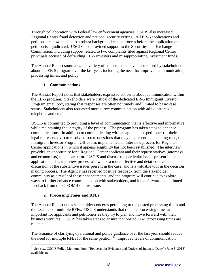Through collaboration with Federal law enforcement agencies, USCIS also increased Regional Center fraud detection and national security vetting. All EB-5 applications and petitions are now subject to a robust background check process before the application or petition is adjudicated. USCIS also provided support to the Securities and Exchange Commission, including support related to two complaints filed against Regional Center principals accused of defrauding EB-5 investors and misappropriating investment funds.

The Annual Report summarized a variety of concerns that have been raised by stakeholders about the EB-5 program over the last year, including the need for improved communication, processing times, and policy.

#### **1. Communications**

The Annual Report notes that stakeholders expressed concerns about communication within the EB-5 program. Stakeholders were critical of the dedicated EB-5 Immigrant Investor Program email box, stating that responses are often not timely and limited to basic case status. Stakeholders also requested more direct communication with adjudicators via telephone and email.

USCIS is committed to providing a level of communication that is effective and informative while maintaining the integrity of the process. The program has taken steps to enhance communications. In addition to communicating with an applicant or petitioner (or their legal representative) to resolve discrete questions that may be present in a pending case, the Immigrant Investor Program Office has implemented an interview process for Regional Center applications in which it appears eligibility has not been established. The interview provides an opportunity for a Regional Center applicant and their representatives (attorneys and economists) to appear before USCIS and discuss the particular issues present in the application. This interview process allows for a more effective and detailed level of discussion of the substantive issues present in the case, and is a valuable tool in the decision making process. The Agency has received positive feedback from the stakeholder community as a result of these enhancements, and the program will continue to explore ways to further enhance communication with stakeholders, and looks forward to continued feedback from the CISOMB on this issue.

## **2. Processing Times and RFEs**

 $\overline{a}$ 

The Annual Report notes stakeholder concerns pertaining to the posted processing times and the issuance of multiple RFEs. USCIS understands that reliable processing times are important for applicants and petitioners as they try to plan and move forward with their business ventures. USCIS has taken steps to ensure that posted EB-5 processing times are reliable.

The issuance of clarifying operational and policy guidance over the last year should reduce the need for multiple RFEs for the same petition.<sup>37</sup> Improved levels of communication

<sup>&</sup>lt;sup>37</sup> See e.g., USCIS Policy Memorandum, "Requests for Evidence and Notices of Intent to Deny" (June 3, 2013) available at: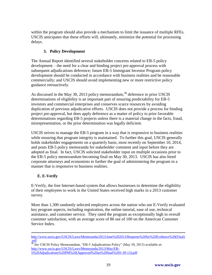within the program should also provide a mechanism to limit the issuance of multiple RFEs. USCIS anticipates that these efforts will, ultimately, minimize the potential for processing delays.

## **3. Policy Development**

The Annual Report identified several stakeholder concerns related to EB-5 policy development – the need for a clear and binding project pre-approval process with subsequent adjudications deference; future EB-5 Immigrant Investor Program policy development should be conducted in accordance with business realities and be reasonable commercially; and USCIS should avoid implementing new or more restrictive policy guidance retroactively.

As discussed in the May 30, 2013 policy memorandum,<sup>38</sup> deference to prior USCIS determinations of eligibility is an important part of ensuring predictability for EB-5 investors and commercial enterprises and conserves scarce resources by avoiding duplication of previous adjudicative efforts. USCIS does not provide a process for binding project pre-approval, but does apply deference as a matter of policy to prior favorable determinations regarding EB-5 projects unless there is a material change in the facts, fraud, misrepresentation, or the prior determination was legally deficient.

USCIS strives to manage the EB-5 program in a way that is responsive to business realities while ensuring that program integrity is maintained. To further this goal, USCIS generally holds stakeholder engagements on a quarterly basis, most recently on September 10, 2014, and posts EB-5 policy memoranda for stakeholder comment and input before they are adopted as final. In fact, USCIS solicited stakeholder input on multiple occasions prior to the EB-5 policy memorandum becoming final on May 30, 2013. USCIS has also hired corporate attorneys and economists to further the goal of administering the program in a manner that is responsive to business realities.

## **E. E-Verify**

 $\overline{a}$ 

E-Verify, the free Internet-based system that allows businesses to determine the eligibility of their employees to work in the United States received high marks in a 2013 customer survey.

More than 1,300 randomly selected employers across the nation who use E-Verify evaluated key program aspects, including registration, the online tutorial, ease of use, technical assistance, and customer service. They rated the program as exceptionally high in overall customer satisfaction, with an average score of 86 out of 100 on the American Customer Service Index.

[http://www.uscis.gov/USCIS/Laws/Memoranda/2013/June%202013/Requests%20for%20Evidence%20\(Final\)](http://www.uscis.gov/USCIS/Laws/Memoranda/2013/June%202013/Requests%20for%20Evidence%20(Final).pdf) [.pdf](http://www.uscis.gov/USCIS/Laws/Memoranda/2013/June%202013/Requests%20for%20Evidence%20(Final).pdf)

<sup>38</sup> *See* USCIS Policy Memorandum, "EB-5 Adjudications Policy" (May 30, 2013) available at: [http://www.uscis.gov/USCIS/Laws/Memoranda/2013/May/EB-](http://www.uscis.gov/USCIS/Laws/Memoranda/2013/May/EB-5%20Adjudications%20PM%20(Approved%20as%20final%205-30-13).pdf)[5%20Adjudications%20PM%20\(Approved%20as%20final%205-30-13\).pdf](http://www.uscis.gov/USCIS/Laws/Memoranda/2013/May/EB-5%20Adjudications%20PM%20(Approved%20as%20final%205-30-13).pdf)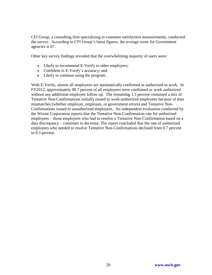CFI Group, a consulting firm specializing in customer satisfaction measurements, conducted the survey. According to CFI Group's latest figures, the average score for Government agencies is 67.

Other key survey findings revealed that the overwhelming majority of users were:

- Likely to recommend E-Verify to other employers;
- Confident in E-Verify's accuracy; and
- Likely to continue using the program.

With E-Verify, almost all employees are automatically confirmed as authorized to work. In FY2012, approximately 98.7 percent of all employees were confirmed as work authorized without any additional employee follow up. The remaining 1.3 percent contained a mix of Tentative Non-Confirmations initially issued to work-authorized employees because of data mismatches (whether employer, employee, or government errors) and Tentative Non-Confirmations issued to unauthorized employees. An independent evaluation conducted by the Westat Corporation reports that the Tentative Non-Confirmation rate for authorized employees – those employees who had to resolve a Tentative Non-Confirmation based on a data discrepancy – continues to decrease. The report concluded that the rate of authorized employees who needed to resolve Tentative Non-Confirmations declined from 0.7 percent to 0.3 percent.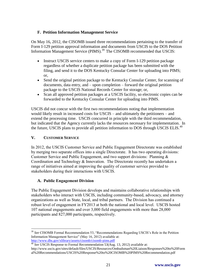## **F. Petition Information Management Service**

On May 16, 2012, the CISOMB issued three recommendations pertaining to the transfer of Form I-129 petition approval information and documents from USCIS to the DOS Petition Information Management Service (PIMS).<sup>39</sup> The CISOMB recommended that USCIS:

- Instruct USCIS service centers to make a copy of Form I-129 petition package regardless of whether a duplicate petition package has been submitted with the filing, and send it to the DOS Kentucky Consular Center for uploading into PIMS; or,
- Send the original petition package to the Kentucky Consular Center, for scanning of documents, data entry, and – upon completion – forward the original petition package to the USCIS National Records Center for storage; or,
- Scan all approved petition packages at a USCIS facility, so electronic copies can be forwarded to the Kentucky Consular Center for uploading into PIMS.

USCIS did not concur with the first two recommendations noting that implementation would likely result in increased costs for USCIS – and ultimately the petitioners – and extend the processing time. USCIS concurred in principle with the third recommendation, but indicated that the Agency currently lacks the resources necessary for implementation. In the future, USCIS plans to provide all petition information to DOS through USCIS ELIS.<sup>40</sup>

# **V. CUSTOMER SERVICE**

In 2012, the USCIS Customer Service and Public Engagement Directorate was established by merging two separate offices into a single Directorate. It has two operating divisions: Customer Service and Public Engagement, and two support divisions: Planning & Coordination and Technology & Innovation. The Directorate recently has undertaken a range of initiatives aimed at improving the quality of customer service provided to stakeholders during their interactions with USCIS.

## **A. Public Engagement Division**

The Public Engagement Division develops and maintains collaborative relationships with stakeholders who interact with USCIS, including community-based, advocacy, and attorney organizations as well as State, local, and tribal partners. The Division has continued a robust level of engagement in FY2013 at both the national and local level. USCIS hosted 107 national engagements and over 3,000 field engagements with more than 28,000 participants and 827,000 participants, respectively.

 $\overline{a}$ <sup>39</sup> *See* CISOMB Formal Recommendation 53, "Recommendations Regarding USCIS's Role in the Petition Information Management Service" (May 16, 2012) available at: <http://www.dhs.gov/xlibrary/assets/cisomb/cisomb-pims.pdf>

<sup>&</sup>lt;sup>40</sup> See USCIS Response to Formal Recommendation 53(Aug. 13, 2012) available at:

http://www.uscis.gov/sites/default/files/USCIS/Resources/Ombudsman%20Liaison/Responses%20to%20Form al%20Recommendations/USCIS%20Response%20to%20CISOMB%20PIMS%20Recommendation.pdf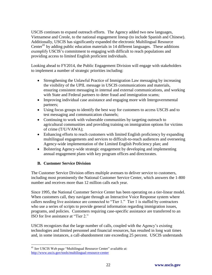USCIS continues to expand outreach efforts. The Agency added two new languages, Vietnamese and Creole, to the national engagement lineup (to include Spanish and Chinese). Additionally, USCIS has significantly expanded the electronic Multilingual Resource Center<sup>41</sup> by adding public education materials in 14 different languages. These additions exemplify USCIS's commitment to engaging with difficult to reach populations and providing access to limited English proficient individuals.

Looking ahead to FY2014, the Public Engagement Division will engage with stakeholders to implement a number of strategic priorities including:

- Strengthening the Unlawful Practice of Immigration Law messaging by increasing the visibility of the UPIL message in USCIS communications and materials, ensuring consistent messaging in internal and external communications, and working with State and Federal partners to deter fraud and immigration scams;
- Improving individual case assistance and engaging more with Intergovernmental partners;
- Using focus groups to identify the best way for customers to access USCIS and to test messaging and communication channels;
- Continuing to work with vulnerable communities by targeting outreach to agricultural communities and providing training on immigration options for victims of crime (T/U/VAWA);
- Enhancing efforts to reach customers with limited English proficiency by expanding multilingual engagements and services to difficult-to-reach audiences and overseeing Agency-wide implementation of the Limited English Proficiency plan; and
- Bolstering Agency-wide strategic engagement by developing and implementing annual engagement plans with key program offices and directorates.

## **B. Customer Service Division**

 $\overline{a}$ 

The Customer Service Division offers multiple avenues to deliver service to customers, including most prominently the National Customer Service Center, which answers the 1-800 number and receives more than 12 million calls each year.

Since 1995, the National Customer Service Center has been operating on a tier-linear model. When customers call, they navigate through an Interactive Voice Response system where callers needing live assistance are connected to "Tier 1." Tier 1 is staffed by contractors who use a series of scripts to provide general information regarding immigration issues, programs, and policies. Customers requiring case-specific assistance are transferred to an ISO for live assistance at "Tier 2."

USCIS recognizes that the large number of calls, coupled with the Agency's existing technologies and limited personnel and financial resources, has resulted in long wait times and, in some instances, a call-abandonment rate exceeding 25 percent. USCIS understands

<sup>41</sup> *See* USCIS Web page "Multilingual Resource Center" available at: <http://www.uscis.gov/tools/multilingual-resource-center>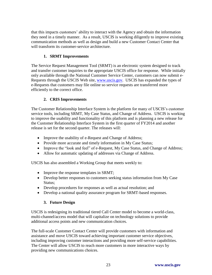that this impacts customers' ability to interact with the Agency and obtain the information they need in a timely manner. As a result, USCIS is working diligently to improve existing communication methods as well as design and build a new Customer Contact Center that will transform its customer-service architecture.

## **1. SRMT Improvements**

The Service Request Management Tool (SRMT) is an electronic system designed to track and transfer customer inquiries to the appropriate USCIS office for response. While initially only available through the National Customer Service Center, customers can now submit eRequests through the USCIS Web site, [www.uscis.gov.](http://www.uscis.gov/) USCIS has expanded the types of e-Requests that customers may file online so service requests are transferred more efficiently to the correct office.

## **2. CRIS Improvements**

The Customer Relationship Interface System is the platform for many of USCIS's customer service tools, including SRMT, My Case Status, and Change of Address. USCIS is working to improve the usability and functionality of this platform and is planning a new release for the Customer Relationship Interface System in the first quarter of FY2014 and another release is set for the second quarter. The releases will:

- Improve the usability of e-Request and Change of Address;
- Provide more accurate and timely information in My Case Status;
- Improve the "look and feel" of e-Request, My Case Status, and Change of Address;
- Allow for automatic updating of addresses via Change of Address.

USCIS has also assembled a Working Group that meets weekly to:

- Improve the response templates in SRMT;
- Develop better responses to customers seeking status information from My Case Status;
- Develop procedures for responses as well as actual resolution; and
- Develop a national quality assurance program for SRMT-based responses.

## **3. Future Design**

USCIS is redesigning its traditional tiered Call Center model to become a world-class, multi-channel/access model that will capitalize on technology solutions to provide additional access points and new communication choices.

The full-scale Customer Contact Center will provide customers with information and assistance and move USCIS toward achieving important customer service objectives, including improving customer interactions and providing more self-service capabilities. The Center will allow USCIS to reach more customers in more interactive ways by providing new communications choices.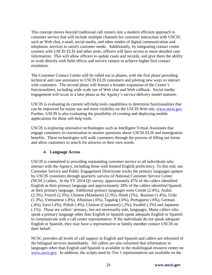This concept moves beyond traditional call centers into a modern efficient approach to customer service that will include multiple channels for customer interaction with USCIS, such as Web chat, e-mail, social media, and other modes of digital communication and telephonic services to satisfy customer needs. Additionally, by integrating contact center systems with USCIS ELIS and other tools, officers will have access to more detailed case information. This will allow officers to update cases and records, and give them the ability to work directly with field offices and service centers to achieve higher first contact resolution.

The Customer Contact Center will be rolled out in phases, with the first phase providing technical and case assistance to USCIS ELIS customers and piloting new ways to interact with customers. The second phase will feature a broader expansion of the Center's functionalities, including wide scale use of Web chat and Web callback. Social media engagement will occur in a later phase as the Agency's service-delivery model matures.

USCIS is evaluating its current self-help tools capabilities to determine functionalities that can be improved for easier use and more visibility on the USCIS Web site, [www.uscis.gov.](http://www.uscis.gov/) Further, USCIS is also evaluating the possibility of creating and deploying mobile applications for these self-help tools.

USCIS is exploring innovative technologies such as Intelligent Virtual Assistants that engage customers in conversation to answer questions about USCIS ELIS and immigration benefits. These technologies will walk customers through the process of filling out forms and allow customers to search for answers in their own words.

#### **4. Language Access**

USCIS is committed to providing outstanding customer service to all individuals who interact with the Agency, including those with limited English proficiency. To this end, our Customer Service and Public Engagement Directorate tracks the primary languages spoken by USCIS customers through quarterly surveys of National Customer Service Center (NCSC) callers. In the FY 2014 Q1 survey, approximately 47% of the callers identified English as their primary language and approximately 28% of the callers identified Spanish as their primary language. Additional primary languages were Creole (2.4%), Arabic (2.3%), French (2.3%), Chinese (Mandarin) (2.3%), Hindi (2%), Russian (1.4%), Urdu (1.3%), Vietnamese (.8%), Albanian (.6%), Tagalog (.6%), Portuguese (.6%), German (.4%), Farsi (.4%), Polish (.4%), Chinese (Cantonese) (.2%), Swahili (.2%) and Japanese (.1%). These are callers' primary, but not necessarily sole, languages. Many callers who speak a primary language other than English or Spanish speak adequate English or Spanish to communicate with a call center representative. If the individuals do not speak adequate English or Spanish, they may have a representative or family member contact USCIS on their behalf.

NCSC provides all levels of call support in English and Spanish and callers are informed of the bilingual services immediately. All callers are also informed that information in languages other than English and Spanish is available in the multilingual resource center on [www.uscis.gov.](http://www.uscis.gov/) In addition, the scripts used by Tier 1 representatives are available on the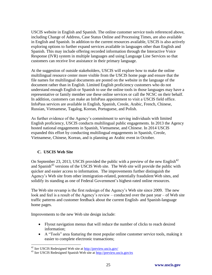USCIS website in English and Spanish. The online customer service tools referenced above, including Change of Address, Case Status Online and Processing Times, are also available in English and Spanish. In addition to the current resources available, USCIS is also actively exploring options to further expand services available in languages other than English and Spanish. This may include offering recorded information through the Interactive Voice Response (IVR) system in multiple languages and using Language Line Services so that customers can receive live assistance in their primary language.

At the suggestion of outside stakeholders, USCIS will explore how to make the online multilingual resource center more visible from the USCIS home page and ensure that the file names for multilingual documents are posted on the website in the language of the document rather than in English. Limited English proficiency customers who do not understand enough English or Spanish to use the online tools in those languages may have a representative or family member use these online services or call the NCSC on their behalf. In addition, customers can make an InfoPass appointment to visit a USCIS field office. InfoPass services are available in English, Spanish, Creole, Arabic, French, Chinese, Russian, Vietnamese, Tagalog, Korean, Portuguese, and Polish.

As further evidence of the Agency's commitment to serving individuals with limited English proficiency, USCIS conducts multilingual public engagements. In 2013 the Agency hosted national engagements in Spanish, Vietnamese, and Chinese. In 2014 USCIS expanded this effort by conducting multilingual engagements in Spanish, Creole, Vietnamese, Chinese, Korean, and is planning an Arabic event in October.

## **C. USCIS Web Site**

 $\overline{a}$ 

On September 23, 2013, USCIS provided the public with a preview of the new English $^{42}$ and Spanish<sup>43</sup> versions of the USCIS Web site. The Web site will provide the public with quicker and easier access to information. The improvements further distinguish the Agency's Web site from other immigration-related, potentially fraudulent Web sites, and solidify its standing as one of Federal Government's highest-rated online resources.

The Web site revamp is the first redesign of the Agency's Web site since 2009. The new look and feel is a result of the Agency's review – conducted over the past year – of Web site traffic patterns and customer feedback about the current English- and Spanish-language home pages.

Improvements to the new Web site design include:

- Flyout navigation menus that will reduce the number of clicks to reach desired information;
- A "Tools" area featuring the most popular online customer service tools, making it easier to complete electronic transactions;

<sup>42</sup> *See* USCIS Redesigned Web site at<http://preview.uscis.gov/>

<sup>43</sup> *See* USCIS Redesigned Spanish Web site at<http://preview.uscis.gov/es>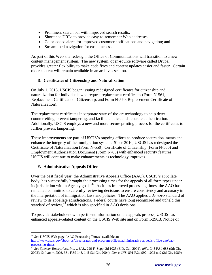- Prominent search bar with improved search results;
- Shortened URLs to provide easy-to-remember Web addresses;
- Color-coded alerts for improved customer notifications and navigation; and
- Streamlined navigation for easier access.

As part of this Web site redesign, the Office of Communications will transition to a new content management system. The new system, open-source software called Drupal, provides greater flexibility to make code fixes and content updates easier and faster. Certain older content will remain available in an archives section.

## **D. Certificates of Citizenship and Naturalization**

On July 1, 2013, USCIS began issuing redesigned certificates for citizenship and naturalization for individuals who request replacement certificates (Form N-561, Replacement Certificate of Citizenship, and Form N-570, Replacement Certificate of Naturalization).

The replacement certificates incorporate state-of-the-art technology to help deter counterfeiting, prevent tampering, and facilitate quick and accurate authentication. Additionally, USCIS employs a new and more secure printing process for the certificates to further prevent tampering.

These improvements are part of USCIS's ongoing efforts to produce secure documents and enhance the integrity of the immigration system. Since 2010, USCIS has redesigned the Certificate of Naturalization (Form N-550), Certificate of Citizenship (Form N-560) and Employment Authorization Document (Form I-765) with enhanced security features. USCIS will continue to make enhancements as technology improves.

## **E. Administrative Appeals Office**

Over the past fiscal year, the Administrative Appeals Office (AAO), USCIS's appellate body, has successfully brought the processing times for the appeals of all form types under its jurisdiction within Agency goals. 44 As it has improved processing times, the AAO has remained committed to carefully reviewing decisions to ensure consistency and accuracy in the interpretation of immigration laws and policies. The AAO applies a *de novo* standard of review to its appellate adjudications. Federal courts have long recognized and upheld this standard of review,<sup>45</sup> which is also specified in AAO decisions.

To provide stakeholders with pertinent information on the appeals process, USCIS has enhanced appeals-related content on the USCIS Web site and on Form I-290B, Notice of

<sup>44</sup> *See* USCIS Web page "AAO Processing Times" available at:

 $\overline{a}$ 

[http://www.uscis.gov/about-us/directorates-and-program-offices/administrative-appeals-office-aao/aao](http://www.uscis.gov/about-us/directorates-and-program-offices/administrative-appeals-office-aao/aao-processing-times)[processing-times](http://www.uscis.gov/about-us/directorates-and-program-offices/administrative-appeals-office-aao/aao-processing-times)

<sup>45</sup> *See Spencer Enterprises, Inc. v. U.S.*, 229 F. Supp. 2d 1025 (E.D. Cal. 2001), *aff'd*. 345 F.3d 683 (9th Cir. 2003); *Soltane v. DOJ*, 381 F.3d 143, 145 (3d Cir. 2004); *Dor v. INS*, 891 F.2d 997, 1002 n. 9 (2d Cir. 1989).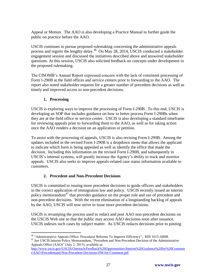Appeal or Motion. The AAO is also developing a Practice Manual to further guide the public on practice before the AAO.

USCIS continues to pursue proposed rulemaking concerning the administrative appeals process and regrets the lengthy delay.<sup>46</sup> On May 28, 2014, USCIS conducted a stakeholder engagement session and discussed the initiatives described above and answered stakeholder questions. At this session, USCIS also solicited feedback on concepts under development in the proposed rulemaking.

The CISOMB's Annual Report expressed concern with the lack of consistent processing of Form I-290B at the field offices and service centers prior to forwarding to the AAO. The report also noted stakeholder requests for a greater number of precedent decisions as well as timely and improved access to non-precedent decisions.

## **1. Processing**

USCIS is exploring ways to improve the processing of Form I-290B. To this end, USCIS is developing an SOP that includes guidance on how to better process Form I-290Bs when they are at the field office or service center. USCIS is also developing a standard timeframe for reviewing appeals prior to forwarding them to the AAO, as well as for taking action once the AAO renders a decision on an application or petition.

To assist with the processing of appeals, USCIS is also revising Form I-290B. Among the updates included in the revised Form I-290B is a dropdown menu that allows the applicant to indicate which form is being appealed as well as identify the office that made the decision. Including this information on the revised Form I-290B, and subsequently in USCIS's internal systems, will greatly increase the Agency's ability to track and monitor appeals. USCIS also seeks to improve appeals-related case status information available to customers.

## **2. Precedent and Non-Precedent Decisions**

USCIS is committed to issuing more precedent decisions to guide officers and stakeholders in the correct application of immigration law and policy. USCIS recently issued an interim policy memorandum<sup>47</sup> that provides guidance on the proper role and use of precedent and non-precedent decisions. With the recent elimination of a longstanding backlog of appeals by the AAO, USCIS will now strive to issue more precedent decisions.

USCIS is revamping the process used to redact and post AAO non-precedent decisions on the USCIS Web site so that the public may access AAO decisions soon after issuance. USCIS indexes such cases by subject matter. As USCIS redacts decisions prior to posting

<sup>47</sup> See USCIS Interim Policy Memorandum, "Precedent and Non-Precedent Decision of the Administrative Appeals Office (AAO)" (July 2, 2013), available at:

 $\overline{a}$ <sup>46</sup> "Administrative Appeals Office: Procedural Reforms To Improve Efficiency", RIN 1615-AB98.

[http://www.uscis.gov/USCIS/Outreach/Feedback%20Opportunities/Interim%20Guidance%20for%20Commen](http://www.uscis.gov/USCIS/Outreach/Feedback%20Opportunities/Interim%20Guidance%20for%20Comment/AAO-Precedentand-Non-Precedent-Decisions-PM-for-Comment.pdf) [t/AAO-Precedentand-Non-Precedent-Decisions-PM-for-Comment.pdf](http://www.uscis.gov/USCIS/Outreach/Feedback%20Opportunities/Interim%20Guidance%20for%20Comment/AAO-Precedentand-Non-Precedent-Decisions-PM-for-Comment.pdf)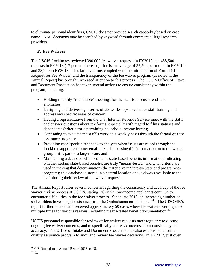to eliminate personal identifiers, USCIS does not provide search capability based on case name. AAO decisions may be searched by keyword through commercial legal research providers.

## **F. Fee Waivers**

The USCIS Lockboxes reviewed 390,000 fee waiver requests in FY2012 and 458,500 requests in FY2013 (17 percent increase); that is an average of 32,500 per month in FY2012 and 38,200 in FY2013. This large volume, coupled with the introduction of Form I-912, Request for Fee Waiver, and the transparency of the fee waiver program (as noted in the Annual Report) has brought increased attention to this process. The USCIS Office of Intake and Document Production has taken several actions to ensure consistency within the program, including:

- Holding monthly "roundtable" meetings for the staff to discuss trends and anomalies;
- Designing and delivering a series of six workshops to enhance staff training and address any specific areas of concern;
- Having a representative from the U.S. Internal Revenue Service meet with the staff, and answer questions about tax forms, especially with regard to filing statuses and dependents (criteria for determining household income levels);
- Continuing to evaluate the staff's work on a weekly basis through the formal quality assurance program;
- Providing case-specific feedback to analysts when issues are raised through the Lockbox support customer email box; also passing this information on to the whole group if it is part of a larger issue; and
- Maintaining a database which contains state-based benefits information, indicating whether certain state-based benefits are truly "means-tested" and what criteria are used in making that determination (the criteria vary State-to-State and program-toprogram); this database is stored in a central location and is always available to the staff during their review of fee waiver requests.

The Annual Report raises several concerns regarding the consistency and accuracy of the fee waiver review process at USCIS, stating: "Certain low-income applicants continue to encounter difficulties in the fee waiver process. Since late 2012, an increasing number of stakeholders have sought assistance from the Ombudsman on this topic."<sup>48</sup> The CISOMB's report further notes that it received approximately 50 cases where fee waivers were rejected multiple times for various reasons, including means-tested benefit documentation.<sup>49</sup>

USCIS personnel responsible for review of fee waiver requests meet regularly to discuss ongoing fee waiver concerns, and to specifically address concerns about consistency and accuracy. The Office of Intake and Document Production has also established a formal quality assurance program to audit and review fee waiver decisions. In FY2012, just over

 $\overline{a}$ 

<sup>&</sup>lt;sup>48</sup> CIS Ombudsman Annual Report 2013, p. 48.

<sup>49</sup> *Id.*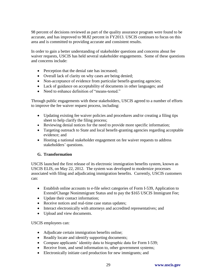98 percent of decisions reviewed as part of the quality assurance program were found to be accurate, and has improved to 98.82 percent in FY2013. USCIS continues to focus on this area and is committed to providing accurate and consistent results.

In order to gain a better understanding of stakeholder questions and concerns about fee waiver requests, USCIS has held several stakeholder engagements. Some of these questions and concerns include:

- Perception that the denial rate has increased;
- Overall lack of clarity on why cases are being denied;
- Non-acceptance of evidence from particular benefit-granting agencies;
- Lack of guidance on acceptability of documents in other languages; and
- Need to enhance definition of "means-tested."

Through public engagements with these stakeholders, USCIS agreed to a number of efforts to improve the fee waiver request process, including:

- Updating existing fee waiver policies and procedures and/or creating a filing tips sheet to help clarify the filing process;
- Reviewing denial notices for the need to provide more specific information;
- Targeting outreach to State and local benefit-granting agencies regarding acceptable evidence; and
- Hosting a national stakeholder engagement on fee waiver requests to address stakeholders' questions.

#### **G. Transformation**

USCIS launched the first release of its electronic immigration benefits system, known as USCIS ELIS, on May 22, 2012. The system was developed to modernize processes associated with filing and adjudicating immigration benefits. Currently, USCIS customers can:

- Establish online accounts to e-file select categories of Form I-539, Application to Extend/Change Nonimmigrant Status and to pay the \$165 USCIS Immigrant Fee;
- Update their contact information;
- Receive notices and real-time case status updates;
- Interact electronically with attorneys and accredited representatives; and
- Upload and view documents.

USCIS employees can:

- Adjudicate certain immigration benefits online;
- Readily locate and identify supporting documents;
- Compare applicants' identity data to biographic data for Form I-539;
- Receive from, and send information to, other government systems;
- Electronically initiate card production for new immigrants; and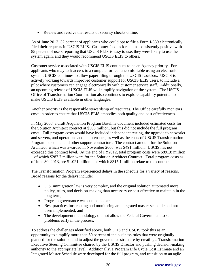Review and resolve the results of security checks online.

As of June 2013, 32 percent of applicants who could opt to file a Form I-539 electronically filed their requests in USCIS ELIS. Customer feedback remains consistently positive with 85 percent of users reporting that USCIS ELIS is easy to use, they were likely to use the system again, and they would recommend USCIS ELIS to others.

Customer service associated with USCIS ELIS continues to be an Agency priority. For applicants who may lack access to a computer or feel uncomfortable using an electronic system, USCIS continues to allow paper filing through the USCIS Lockbox. USCIS is actively working towards improved customer support for USCIS ELIS users, to include a pilot where customers can engage electronically with customer service staff. Additionally, an upcoming release of USCIS ELIS will simplify navigation of the system. The USCIS Office of Transformation Coordination also continues to explore capability potential to make USCIS ELIS available in other languages.

Another priority is the responsible stewardship of resources. The Office carefully monitors costs in order to ensure that USCIS ELIS embodies both quality and cost effectiveness.

In May 2008, a draft Acquisition Program Baseline document included estimated costs for the Solution Architect contract at \$500 million, but this did not include the full program costs. Full program costs would have included independent testing, the upgrade to networks and servers, and operations and maintenance, as well as the costs of USCIS Transformation Program personnel and other support contractors. The contract amount for the Solution Architect, which was awarded in November 2008, was \$491 million. USCIS has not exceeded this contract level. At the end of FY2012, total program costs were \$891.8 million – of which \$287.7 million were for the Solution Architect Contract. Total program costs as of June 30, 2013, are \$1.021 billion – of which \$315.1 million relate to the contract.

The Transformation Program experienced delays in the schedule for a variety of reasons. Broad reasons for the delays include:

- U.S. immigration law is very complex, and the original solution automated more policy, rules, and decision-making than necessary or cost effective to maintain in the long term;
- Program governance was cumbersome;
- Best practices for creating and monitoring an integrated master schedule had not been implemented; and
- The development methodology did not allow the Federal Government to see problems early in the process.

To address the challenges identified above, both DHS and USCIS took this as an opportunity to simplify more than 60 percent of the business rules that were originally planned for the solution and to adjust the governance structure by creating a Transformation Executive Steering Committee chaired by the USCIS Director and pushing decision-making authority to the appropriate level. Additionally, a Program Life Cycle Cost Estimate and an Integrated Master Schedule were developed for the full program, and transition to an agile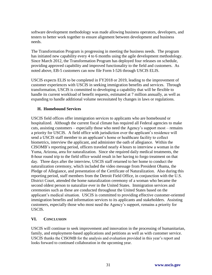software development methodology was made allowing business operators, developers, and testers to better work together to ensure alignment between development and business needs.

The Transformation Program is progressing in meeting the business needs. The program has initiated new capability every 4 to 6 months using the agile development methodology. Since March 2012, the Transformation Program has deployed four releases on schedule, providing approved capability and improved functionality to the field and customers. As noted above, EB-5 customers can now file Form I-526 through USCIS ELIS.

USCIS expects ELIS to be completed in FY2018 or 2019, leading to the improvement of customer experiences with USCIS in seeking immigration benefits and services. Through transformation, USCIS is committed to developing a capability that will be flexible to handle its current workload of benefit requests, estimated at 7 million annually, as well as expanding to handle additional volume necessitated by changes in laws or regulations.

### **H. Homebound Services**

USCIS field offices offer immigration services to applicants who are homebound or hospitalized. Although the current fiscal climate has required all Federal agencies to make cuts, assisting customers – especially those who need the Agency's support most – remains a priority for USCIS. A field office with jurisdiction over the applicant's residence will send a USCIS staff member to an applicant's home or healthcare facility to collect biometrics, interview the applicant, and administer the oath of allegiance. Within the CISOMB's reporting period, officers traveled nearly 4 hours to interview a woman in the Yuma, Arizona, area for naturalization. Since she required daily medical treatments, the 8-hour round trip to the field office would result in her having to forgo treatment on that day. Three days after the interview, USCIS staff returned to her home to conduct the naturalization ceremony, which included the video message from President Obama, the Pledge of Allegiance, and presentation of the Certificate of Naturalization. Also during this reporting period, staff members from the Detroit Field Office, in conjunction with the U.S. District Court, attended the home naturalization ceremony of a woman who became the second oldest person to naturalize ever in the United States. Immigration services and ceremonies such as these are conducted throughout the United States based on the applicant's medical situation. USCIS is committed to providing effective customer-oriented immigration benefits and information services to its applicants and stakeholders. Assisting customers, especially those who most need the Agency's support, remains a priority for USCIS.

#### **VI. CONCLUSION**

USCIS will continue to seek improvement and innovation in the processing of humanitarian, family, and employment-based applications and petitions as well as with customer service. USCIS thanks the CISOMB for the analysis and evaluation provided in this year's report and looks forward to continued collaboration in the upcoming year.